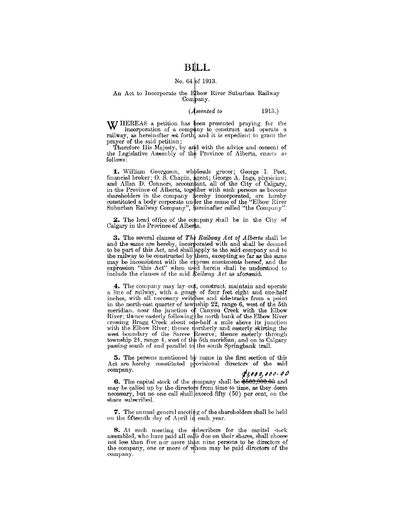## **BILL**

## No. 64 of 1913.

### An Act to Incorporate the Elbow River Suburban Railway Company.

#### $(A$ ssented to  $1913.)$

W/HEREAS a petition has been presented praying for the W incorporation of a company to construct and operate a<br>railway, as hereinafter set forth, and it is expedient to grant the prayer of the said petition;

Therefore His Majesty, by and with the advice and consent of the Legislative Assembly of the Province of Alberta, enacts as follows:

1. William Georgeson, wholesale grocer; George I. Peet, financial broker; O. S. Chapin, agent; George A. Ings, physician; and Allan D. Connors, accountant, all of the City of Calgary,<br>in the Province of Alberta, together with such persons as become<br>shareholders in the company hereby incorporated, are hereby<br>constituted a body corporate under Suburban Railway Company", hereinafter called "the Company".

2. The head office of the company shall be in the City of Calgary in the Province of Alberta.

**3.** The several clauses of The Railway Act of Alberta shall be and the same are hereby, incorporated with and shall be decmed to be part of this Act, and shall apply to the said company and to the railway to be constructed by them, excepting so far as the same may be inconsistent with the express enactments hereof, and the expression "this Act" when used herein shall be understood to include the clauses of the said Railway Act as afortesaid.

4. The company may lay out, construct, maintain and operate a line of railway, with a guage of four feet eight and one-half inches, with all necessary switches and side-tracks from a point<br>in the north-east quarter of township 22, range 6, west of the 5th meridian, near the junction of Canyon Creek with the Elbow<br>River; thence easterly following the north bank of the Elbow River crossing Bragg Creek about one-half a mile above its junction with the Elbow River; thence northerly and easterly skirting the west boundary of the Sarcee Reserve; thence easterly through township 24, range 4, west of the 5th meridian, and on to Calgary passing south of and parallel to the south Springbank trail.

**5.** The persons mentioned by name in the first section of this Act are hereby constituted provisional directors of the said company.

## $8,000,00000$

6. The capital stock of the dompany shall be \$500,000.00 and may be called up by the directors from time to time, as they deem necessary, but no one call shall exceed fifty (50) per cent, on the share subscribed.

7. The annual general meeting of the shareholders shall be held on the fifteenth day of April in each year.

8. At such meeting the subscribers for the capital stock assembled, who have paid all calls due on their shares, shall choose not less than five nor more than nine persons to be directors of the company, one or more of whom may be paid directors of the company.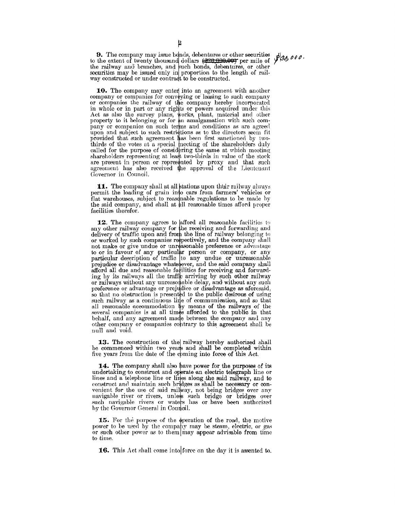9. The company may issue bonds, debentures or other securities to the extent of twenty thousand dollars  $\left(\frac{20,000,00}{20,000,00}\right)$  per mile of  $\sqrt[3]{30,000}$ . the railway and branches, and such bonds, debentures, or other securities may be issued only in proportion to the length of railway constructed or under contract to be constructed.

10. The company may enter into an agreement with another company or companies for conveying or leasing to such company or companies the railway of the company hereby incorporated<br>in whole or in part or any rights or powers acquired under this Act as also the survey plans, works, plant, material and other<br>property to it belonging or for an amalgamation with such company or companies on such terms and conditions as are agreed<br>upon and subject to such restrictions as to the directors seem fit provided that such agreement has been first sanctioned by twothirds of the votes at a special meeting of the shareholders duly<br>called for the purpose of considering the same at which meeting shareholders representing at least two-thirds in value of the stock are present in person or represented by proxy and that such agreement has also received the approval of the Lieutenant Governor in Council.

**11.** The company shall at all stations upon their railway always permit the loading of grain into cars from farmers' vehicles or flat warehouses, subject to reasonable regulations to be made by the said company, and shall at all reasonable times afford proper facilities therefor.

12. The company agrees to afford all reasonable facilities to any other railway company for the receiving and forwarding and delivery of traffic upon and from the line of railway belonging to or worked by such companies respectively, and the company shall not make or give undue or unreasonable preference or advantage to or in favour of any particular person or company, or any particular description of traffic to any undue or unreasonable prejudice or disadvantage whatsoever, and the said company shall afford all due and reasonable faci and the and reasonable radiness for receiving and forwarding by its railways all the traffic arriving by such other railway or railways without any unreasonable delay, and without any such preference or advantage or prejud so that no obstruction is presented to the public desirous of using such railway as a continuous line of communication, and so that all reasonable accommodation by means of the railways of the several companies is at all times afforded to the public in that behalf, and any agreement made between the company and any other company or companies contrary to this agreement shall be null and void.

13. The construction of the railway hereby authorized shall be commenced within two years and shall be completed within<br>five years from the date of the coming into force of this Act.

14. The company shall also have power for the purposes of its undertaking to construct and operate an electric telegraph line or lines and a telephone line or lines along the said railway, and to construct and maintain such bridges as shall be necessary or convenient for the use of said railway, not being bridges over any navigable river or rivers, unless such bridge or bridges over any navigable river or rivers, unless such bridge or bridges over by the Governor General in Council.

15. For the purpose of the operation of the road, the motive power to be used by the company may be steam, electric, or gas or such other power as to them may appear advisable from time to time.

**16.** This Act shall come into force on the day it is assented to.